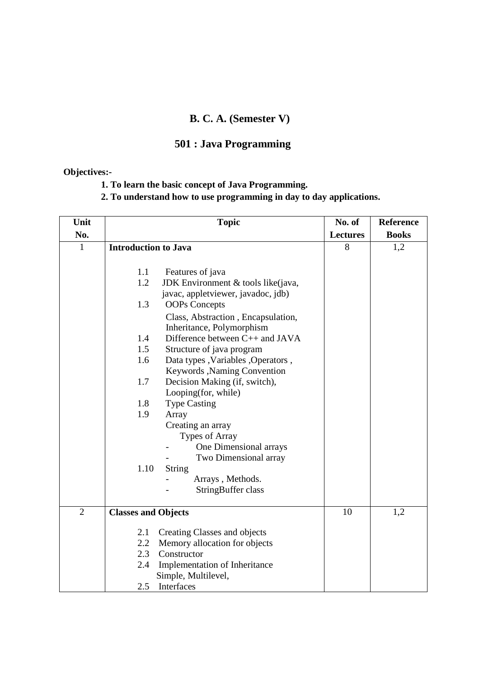## **B. C. A. (Semester V)**

## **501 : Java Programming**

### **Objectives:-**

- **1. To learn the basic concept of Java Programming.**
- **2. To understand how to use programming in day to day applications.**

| Unit           | <b>Topic</b>                                                    | No. of          | <b>Reference</b> |
|----------------|-----------------------------------------------------------------|-----------------|------------------|
| No.            |                                                                 | <b>Lectures</b> | <b>Books</b>     |
| $\mathbf{1}$   | <b>Introduction to Java</b>                                     | 8               | 1,2              |
|                | 1.1<br>Features of java                                         |                 |                  |
|                | 1.2<br>JDK Environment & tools like(java,                       |                 |                  |
|                | javac, appletviewer, javadoc, jdb)                              |                 |                  |
|                | 1.3<br><b>OOPs Concepts</b>                                     |                 |                  |
|                | Class, Abstraction, Encapsulation,<br>Inheritance, Polymorphism |                 |                  |
|                | 1.4<br>Difference between C++ and JAVA                          |                 |                  |
|                | 1.5<br>Structure of java program                                |                 |                  |
|                | 1.6<br>Data types , Variables , Operators ,                     |                 |                  |
|                | Keywords , Naming Convention                                    |                 |                  |
|                | 1.7<br>Decision Making (if, switch),                            |                 |                  |
|                | Looping(for, while)                                             |                 |                  |
|                | 1.8<br><b>Type Casting</b>                                      |                 |                  |
|                | 1.9<br>Array                                                    |                 |                  |
|                | Creating an array                                               |                 |                  |
|                | Types of Array                                                  |                 |                  |
|                | One Dimensional arrays                                          |                 |                  |
|                | Two Dimensional array<br>1.10<br>String                         |                 |                  |
|                | Arrays, Methods.                                                |                 |                  |
|                | StringBuffer class                                              |                 |                  |
|                |                                                                 |                 |                  |
| $\overline{2}$ | <b>Classes and Objects</b>                                      | 10              | 1,2              |
|                | Creating Classes and objects<br>2.1                             |                 |                  |
|                | Memory allocation for objects<br>2.2                            |                 |                  |
|                | 2.3<br>Constructor                                              |                 |                  |
|                | Implementation of Inheritance<br>2.4                            |                 |                  |
|                | Simple, Multilevel,                                             |                 |                  |
|                | Interfaces<br>2.5                                               |                 |                  |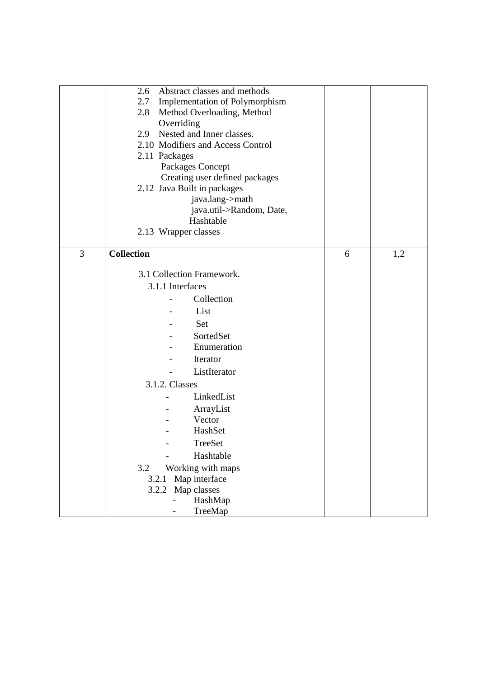|   | 2.6<br>Abstract classes and methods   |   |     |
|---|---------------------------------------|---|-----|
|   | Implementation of Polymorphism<br>2.7 |   |     |
|   | Method Overloading, Method<br>2.8     |   |     |
|   | Overriding                            |   |     |
|   | Nested and Inner classes.<br>2.9      |   |     |
|   | 2.10 Modifiers and Access Control     |   |     |
|   | 2.11 Packages                         |   |     |
|   | Packages Concept                      |   |     |
|   | Creating user defined packages        |   |     |
|   | 2.12 Java Built in packages           |   |     |
|   | java.lang->math                       |   |     |
|   | java.util->Random, Date,<br>Hashtable |   |     |
|   | 2.13 Wrapper classes                  |   |     |
|   |                                       |   |     |
| 3 | <b>Collection</b>                     | 6 | 1,2 |
|   |                                       |   |     |
|   | 3.1 Collection Framework.             |   |     |
|   | 3.1.1 Interfaces                      |   |     |
|   | Collection                            |   |     |
|   | List                                  |   |     |
|   | Set                                   |   |     |
|   | SortedSet                             |   |     |
|   | Enumeration                           |   |     |
|   | Iterator                              |   |     |
|   | ListIterator                          |   |     |
|   | 3.1.2. Classes                        |   |     |
|   | LinkedList                            |   |     |
|   |                                       |   |     |
|   | ArrayList<br>Vector                   |   |     |
|   | HashSet                               |   |     |
|   |                                       |   |     |
|   | TreeSet                               |   |     |
|   | Hashtable                             |   |     |
|   | 3.2<br>Working with maps              |   |     |
|   | Map interface<br>3.2.1                |   |     |
|   | Map classes<br>3.2.2                  |   |     |
|   | HashMap<br>TreeMap                    |   |     |
|   |                                       |   |     |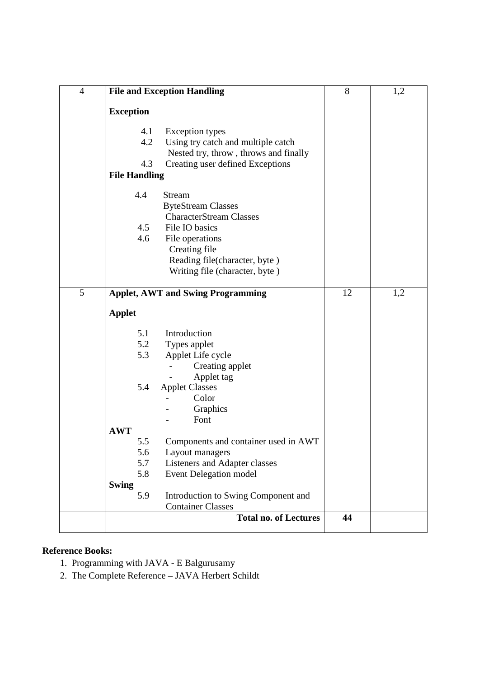| $\overline{4}$ | <b>File and Exception Handling</b>          | 8  | 1,2 |
|----------------|---------------------------------------------|----|-----|
|                | <b>Exception</b>                            |    |     |
|                |                                             |    |     |
|                | 4.1<br><b>Exception types</b>               |    |     |
|                | 4.2<br>Using try catch and multiple catch   |    |     |
|                | Nested try, throw, throws and finally       |    |     |
|                | 4.3<br>Creating user defined Exceptions     |    |     |
|                | <b>File Handling</b>                        |    |     |
|                | 4.4<br><b>Stream</b>                        |    |     |
|                | <b>ByteStream Classes</b>                   |    |     |
|                | <b>CharacterStream Classes</b>              |    |     |
|                | 4.5<br>File IO basics                       |    |     |
|                | 4.6<br>File operations                      |    |     |
|                | Creating file                               |    |     |
|                | Reading file(character, byte)               |    |     |
|                | Writing file (character, byte)              |    |     |
|                |                                             |    |     |
| 5              | <b>Applet, AWT and Swing Programming</b>    | 12 | 1,2 |
|                | <b>Applet</b>                               |    |     |
|                |                                             |    |     |
|                | 5.1<br>Introduction                         |    |     |
|                | 5.2<br>Types applet                         |    |     |
|                | 5.3<br>Applet Life cycle                    |    |     |
|                | Creating applet                             |    |     |
|                | Applet tag                                  |    |     |
|                | 5.4<br><b>Applet Classes</b>                |    |     |
|                | Color                                       |    |     |
|                | Graphics                                    |    |     |
|                | Font<br><b>AWT</b>                          |    |     |
|                | Components and container used in AWT<br>5.5 |    |     |
|                | 5.6<br>Layout managers                      |    |     |
|                | 5.7<br>Listeners and Adapter classes        |    |     |
|                | 5.8<br>Event Delegation model               |    |     |
|                | <b>Swing</b>                                |    |     |
|                | 5.9<br>Introduction to Swing Component and  |    |     |
|                | <b>Container Classes</b>                    |    |     |
|                | <b>Total no. of Lectures</b>                | 44 |     |
|                |                                             |    |     |

- 1. Programming with JAVA E Balgurusamy
- 2. The Complete Reference JAVA Herbert Schildt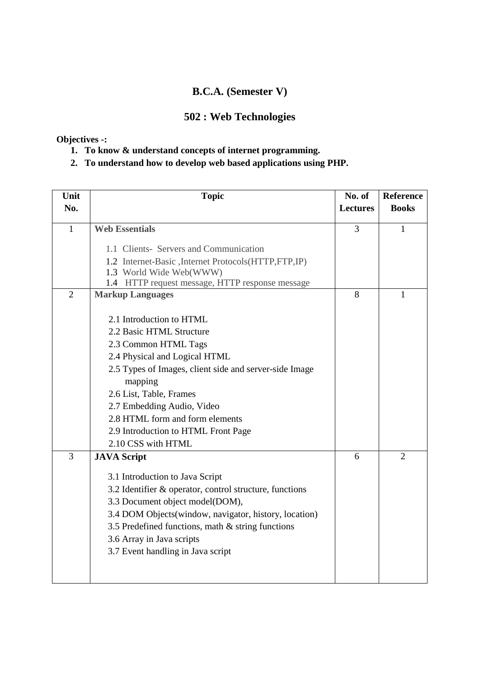## **B.C.A. (Semester V)**

## **502 : Web Technologies**

### **Objectives -:**

- **1. To know & understand concepts of internet programming.**
- **2. To understand how to develop web based applications using PHP.**

| Unit           | <b>Topic</b>                                            | No. of          | <b>Reference</b> |
|----------------|---------------------------------------------------------|-----------------|------------------|
| No.            |                                                         | <b>Lectures</b> | <b>Books</b>     |
|                |                                                         |                 |                  |
| $\mathbf{1}$   | <b>Web Essentials</b>                                   | 3               | 1                |
|                | 1.1 Clients- Servers and Communication                  |                 |                  |
|                | 1.2 Internet-Basic , Internet Protocols (HTTP, FTP, IP) |                 |                  |
|                | 1.3 World Wide Web(WWW)                                 |                 |                  |
|                | 1.4 HTTP request message, HTTP response message         |                 |                  |
| $\overline{2}$ | <b>Markup Languages</b>                                 | 8               | 1                |
|                | 2.1 Introduction to HTML                                |                 |                  |
|                | 2.2 Basic HTML Structure                                |                 |                  |
|                | 2.3 Common HTML Tags                                    |                 |                  |
|                | 2.4 Physical and Logical HTML                           |                 |                  |
|                | 2.5 Types of Images, client side and server-side Image  |                 |                  |
|                | mapping                                                 |                 |                  |
|                | 2.6 List, Table, Frames                                 |                 |                  |
|                | 2.7 Embedding Audio, Video                              |                 |                  |
|                | 2.8 HTML form and form elements                         |                 |                  |
|                | 2.9 Introduction to HTML Front Page                     |                 |                  |
|                | 2.10 CSS with HTML                                      |                 |                  |
| 3              | <b>JAVA Script</b>                                      | 6               | $\overline{2}$   |
|                | 3.1 Introduction to Java Script                         |                 |                  |
|                | 3.2 Identifier & operator, control structure, functions |                 |                  |
|                | 3.3 Document object model(DOM),                         |                 |                  |
|                | 3.4 DOM Objects (window, navigator, history, location)  |                 |                  |
|                | 3.5 Predefined functions, math & string functions       |                 |                  |
|                | 3.6 Array in Java scripts                               |                 |                  |
|                | 3.7 Event handling in Java script                       |                 |                  |
|                |                                                         |                 |                  |
|                |                                                         |                 |                  |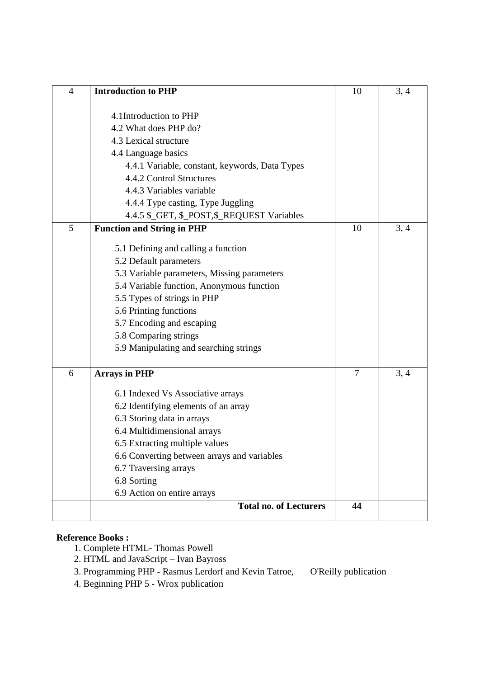| $\overline{4}$ | <b>Introduction to PHP</b>                                           | 10             | 3, 4 |
|----------------|----------------------------------------------------------------------|----------------|------|
|                |                                                                      |                |      |
|                | 4.1Introduction to PHP                                               |                |      |
|                | 4.2 What does PHP do?                                                |                |      |
|                | 4.3 Lexical structure                                                |                |      |
|                | 4.4 Language basics                                                  |                |      |
|                | 4.4.1 Variable, constant, keywords, Data Types                       |                |      |
|                | 4.4.2 Control Structures                                             |                |      |
|                | 4.4.3 Variables variable                                             |                |      |
|                | 4.4.4 Type casting, Type Juggling                                    |                |      |
|                | 4.4.5 \$_GET, \$_POST,\$_REQUEST Variables                           |                |      |
| 5              | <b>Function and String in PHP</b>                                    | 10             | 3, 4 |
|                | 5.1 Defining and calling a function                                  |                |      |
|                | 5.2 Default parameters                                               |                |      |
|                | 5.3 Variable parameters, Missing parameters                          |                |      |
|                | 5.4 Variable function, Anonymous function                            |                |      |
|                | 5.5 Types of strings in PHP                                          |                |      |
|                | 5.6 Printing functions                                               |                |      |
|                | 5.7 Encoding and escaping                                            |                |      |
|                | 5.8 Comparing strings                                                |                |      |
|                | 5.9 Manipulating and searching strings                               |                |      |
| 6              | <b>Arrays in PHP</b>                                                 | $\overline{7}$ | 3, 4 |
|                |                                                                      |                |      |
|                | 6.1 Indexed Vs Associative arrays                                    |                |      |
|                | 6.2 Identifying elements of an array                                 |                |      |
|                | 6.3 Storing data in arrays                                           |                |      |
|                | 6.4 Multidimensional arrays                                          |                |      |
|                | 6.5 Extracting multiple values                                       |                |      |
|                | 6.6 Converting between arrays and variables<br>6.7 Traversing arrays |                |      |
|                | 6.8 Sorting                                                          |                |      |
|                | 6.9 Action on entire arrays                                          |                |      |
|                | <b>Total no. of Lecturers</b>                                        | 44             |      |
|                |                                                                      |                |      |

- 1. Complete HTML- Thomas Powell
- 2. HTML and JavaScript Ivan Bayross
- 3. Programming PHP Rasmus Lerdorf and Kevin Tatroe, O'Reilly publication
- 4. Beginning PHP 5 Wrox publication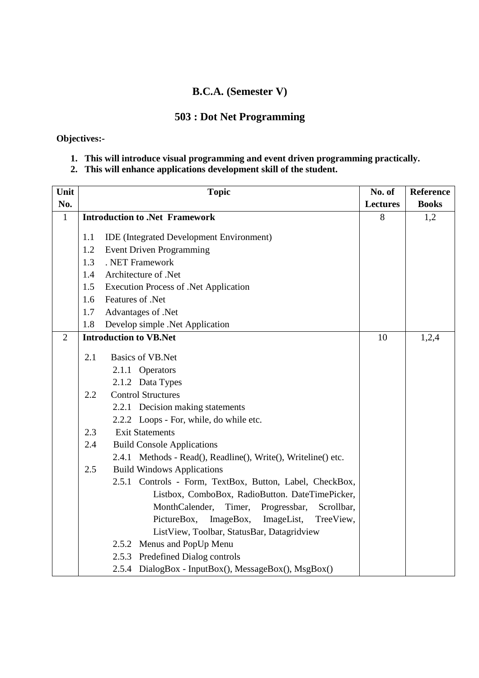### **B.C.A. (Semester V)**

## **503 : Dot Net Programming**

**Objectives:-** 

**1. This will introduce visual programming and event driven programming practically.** 

### **2. This will enhance applications development skill of the student.**

| Unit           |     | <b>Topic</b>                                                  | No. of          | Reference    |
|----------------|-----|---------------------------------------------------------------|-----------------|--------------|
| No.            |     |                                                               | <b>Lectures</b> | <b>Books</b> |
| $\mathbf{1}$   |     | <b>Introduction to .Net Framework</b>                         | 8               | 1,2          |
|                |     |                                                               |                 |              |
|                | 1.1 | <b>IDE</b> (Integrated Development Environment)               |                 |              |
|                | 1.2 | <b>Event Driven Programming</b>                               |                 |              |
|                | 1.3 | . NET Framework                                               |                 |              |
|                | 1.4 | Architecture of .Net                                          |                 |              |
|                | 1.5 | <b>Execution Process of .Net Application</b>                  |                 |              |
|                | 1.6 | Features of .Net                                              |                 |              |
|                | 1.7 | Advantages of .Net                                            |                 |              |
|                | 1.8 | Develop simple .Net Application                               |                 |              |
| $\overline{2}$ |     | <b>Introduction to VB.Net</b>                                 | 10              | 1,2,4        |
|                | 2.1 | <b>Basics of VB.Net</b>                                       |                 |              |
|                |     | 2.1.1 Operators                                               |                 |              |
|                |     | 2.1.2 Data Types                                              |                 |              |
|                | 2.2 | <b>Control Structures</b>                                     |                 |              |
|                |     | 2.2.1 Decision making statements                              |                 |              |
|                |     | 2.2.2 Loops - For, while, do while etc.                       |                 |              |
|                | 2.3 | <b>Exit Statements</b>                                        |                 |              |
|                | 2.4 | <b>Build Console Applications</b>                             |                 |              |
|                |     | 2.4.1 Methods - Read(), Readline(), Write(), Writeline() etc. |                 |              |
|                | 2.5 | <b>Build Windows Applications</b>                             |                 |              |
|                |     | 2.5.1 Controls - Form, TextBox, Button, Label, CheckBox,      |                 |              |
|                |     | Listbox, ComboBox, RadioButton. DateTimePicker,               |                 |              |
|                |     | MonthCalender,<br>Timer,<br>Progressbar,<br>Scrollbar,        |                 |              |
|                |     | ImageBox,<br>PictureBox,<br>ImageList,<br>TreeView,           |                 |              |
|                |     | ListView, Toolbar, StatusBar, Datagridview                    |                 |              |
|                |     | 2.5.2 Menus and PopUp Menu                                    |                 |              |
|                |     | 2.5.3 Predefined Dialog controls                              |                 |              |
|                |     | 2.5.4 DialogBox - InputBox(), MessageBox(), MsgBox()          |                 |              |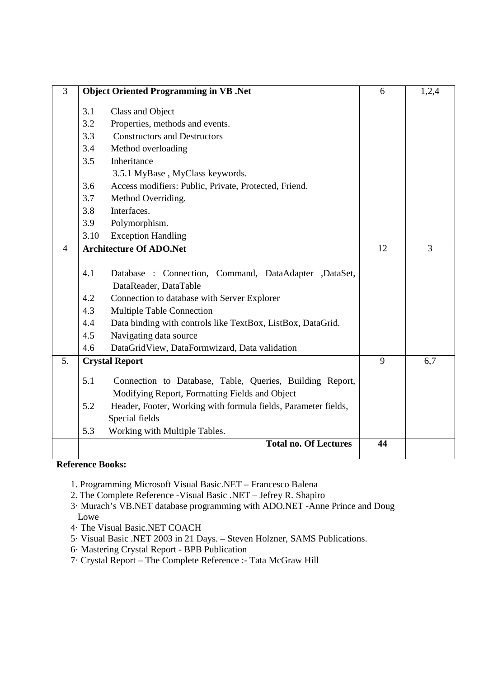| 3              |      | <b>Object Oriented Programming in VB .Net</b>                  | 6  | 1,2,4 |
|----------------|------|----------------------------------------------------------------|----|-------|
|                | 3.1  | Class and Object                                               |    |       |
|                | 3.2  | Properties, methods and events.                                |    |       |
|                | 3.3  | <b>Constructors and Destructors</b>                            |    |       |
|                | 3.4  | Method overloading                                             |    |       |
|                | 3.5  | Inheritance                                                    |    |       |
|                |      | 3.5.1 MyBase, MyClass keywords.                                |    |       |
|                | 3.6  | Access modifiers: Public, Private, Protected, Friend.          |    |       |
|                | 3.7  | Method Overriding.                                             |    |       |
|                | 3.8  | Interfaces.                                                    |    |       |
|                | 3.9  | Polymorphism.                                                  |    |       |
|                | 3.10 | <b>Exception Handling</b>                                      |    |       |
| $\overline{4}$ |      | <b>Architecture Of ADO.Net</b>                                 | 12 | 3     |
|                |      |                                                                |    |       |
|                | 4.1  | Database : Connection, Command, DataAdapter ,DataSet,          |    |       |
|                |      | DataReader, DataTable                                          |    |       |
|                | 4.2  | Connection to database with Server Explorer                    |    |       |
|                | 4.3  | <b>Multiple Table Connection</b>                               |    |       |
|                | 4.4  | Data binding with controls like TextBox, ListBox, DataGrid.    |    |       |
|                | 4.5  | Navigating data source                                         |    |       |
|                | 4.6  | DataGridView, DataFormwizard, Data validation                  |    |       |
| 5.             |      | <b>Crystal Report</b>                                          | 9  | 6,7   |
|                | 5.1  | Connection to Database, Table, Queries, Building Report,       |    |       |
|                |      | Modifying Report, Formatting Fields and Object                 |    |       |
|                | 5.2  | Header, Footer, Working with formula fields, Parameter fields, |    |       |
|                |      | Special fields                                                 |    |       |
|                | 5.3  | Working with Multiple Tables.                                  |    |       |
|                |      | <b>Total no. Of Lectures</b>                                   | 44 |       |
|                |      |                                                                |    |       |

- 1. Programming Microsoft Visual Basic.NET Francesco Balena
- 2. The Complete Reference -Visual Basic .NET Jefrey R. Shapiro
- 3· Murach's VB.NET database programming with ADO.NET -Anne Prince and Doug Lowe
- 4· The Visual Basic.NET COACH
- 5· Visual Basic .NET 2003 in 21 Days. Steven Holzner, SAMS Publications.
- 6· Mastering Crystal Report BPB Publication
- 7· Crystal Report The Complete Reference :- Tata McGraw Hill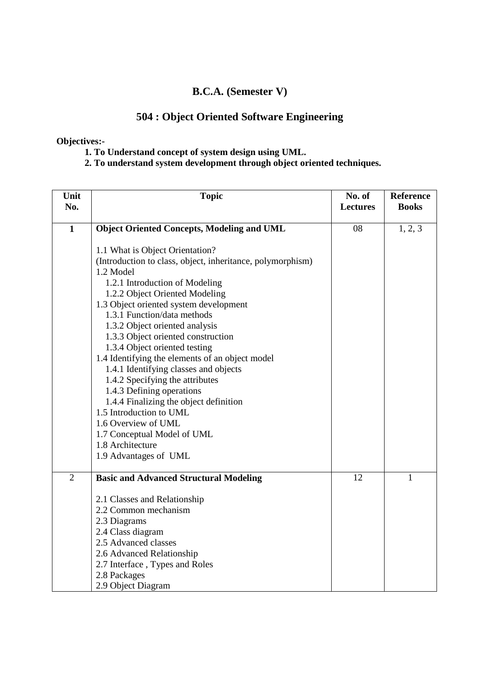### **B.C.A. (Semester V)**

# **504 : Object Oriented Software Engineering**

### **Objectives:-**

 **1. To Understand concept of system design using UML.** 

 **2. To understand system development through object oriented techniques.** 

| Unit<br>No.    | <b>Topic</b>                                                      | No. of<br><b>Lectures</b> | Reference<br><b>Books</b> |
|----------------|-------------------------------------------------------------------|---------------------------|---------------------------|
|                |                                                                   |                           |                           |
| $\mathbf{1}$   | <b>Object Oriented Concepts, Modeling and UML</b>                 | 08                        | 1, 2, 3                   |
|                | 1.1 What is Object Orientation?                                   |                           |                           |
|                | (Introduction to class, object, inheritance, polymorphism)        |                           |                           |
|                | 1.2 Model                                                         |                           |                           |
|                | 1.2.1 Introduction of Modeling                                    |                           |                           |
|                | 1.2.2 Object Oriented Modeling                                    |                           |                           |
|                | 1.3 Object oriented system development                            |                           |                           |
|                | 1.3.1 Function/data methods                                       |                           |                           |
|                | 1.3.2 Object oriented analysis                                    |                           |                           |
|                | 1.3.3 Object oriented construction                                |                           |                           |
|                | 1.3.4 Object oriented testing                                     |                           |                           |
|                | 1.4 Identifying the elements of an object model                   |                           |                           |
|                | 1.4.1 Identifying classes and objects                             |                           |                           |
|                | 1.4.2 Specifying the attributes                                   |                           |                           |
|                | 1.4.3 Defining operations                                         |                           |                           |
|                | 1.4.4 Finalizing the object definition<br>1.5 Introduction to UML |                           |                           |
|                | 1.6 Overview of UML                                               |                           |                           |
|                | 1.7 Conceptual Model of UML                                       |                           |                           |
|                | 1.8 Architecture                                                  |                           |                           |
|                | 1.9 Advantages of UML                                             |                           |                           |
|                |                                                                   |                           |                           |
| $\overline{2}$ | <b>Basic and Advanced Structural Modeling</b>                     | 12                        | 1                         |
|                | 2.1 Classes and Relationship                                      |                           |                           |
|                | 2.2 Common mechanism                                              |                           |                           |
|                | 2.3 Diagrams                                                      |                           |                           |
|                | 2.4 Class diagram                                                 |                           |                           |
|                | 2.5 Advanced classes                                              |                           |                           |
|                | 2.6 Advanced Relationship                                         |                           |                           |
|                | 2.7 Interface, Types and Roles                                    |                           |                           |
|                | 2.8 Packages                                                      |                           |                           |
|                | 2.9 Object Diagram                                                |                           |                           |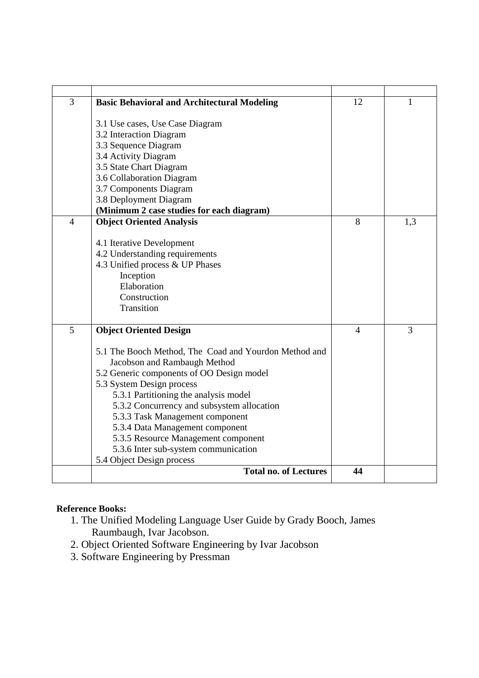| 3              | <b>Basic Behavioral and Architectural Modeling</b>        | 12             | 1   |
|----------------|-----------------------------------------------------------|----------------|-----|
|                |                                                           |                |     |
|                | 3.1 Use cases, Use Case Diagram                           |                |     |
|                | 3.2 Interaction Diagram                                   |                |     |
|                | 3.3 Sequence Diagram                                      |                |     |
|                | 3.4 Activity Diagram                                      |                |     |
|                | 3.5 State Chart Diagram                                   |                |     |
|                | 3.6 Collaboration Diagram                                 |                |     |
|                | 3.7 Components Diagram                                    |                |     |
|                | 3.8 Deployment Diagram                                    |                |     |
|                | (Minimum 2 case studies for each diagram)                 |                |     |
| $\overline{4}$ | <b>Object Oriented Analysis</b>                           | 8              | 1.3 |
|                |                                                           |                |     |
|                | 4.1 Iterative Development                                 |                |     |
|                | 4.2 Understanding requirements                            |                |     |
|                | 4.3 Unified process & UP Phases                           |                |     |
|                | Inception                                                 |                |     |
|                | Elaboration                                               |                |     |
|                | Construction                                              |                |     |
|                | Transition                                                |                |     |
| 5              | <b>Object Oriented Design</b>                             | $\overline{4}$ | 3   |
|                |                                                           |                |     |
|                | 5.1 The Booch Method, The Coad and Yourdon Method and     |                |     |
|                | Jacobson and Rambaugh Method                              |                |     |
|                | 5.2 Generic components of OO Design model                 |                |     |
|                | 5.3 System Design process                                 |                |     |
|                | 5.3.1 Partitioning the analysis model                     |                |     |
|                | 5.3.2 Concurrency and subsystem allocation                |                |     |
|                | 5.3.3 Task Management component                           |                |     |
|                | 5.3.4 Data Management component                           |                |     |
|                | 5.3.5 Resource Management component                       |                |     |
|                | 5.3.6 Inter sub-system communication                      |                |     |
|                | 5.4 Object Design process<br><b>Total no. of Lectures</b> | 44             |     |
|                |                                                           |                |     |

- 1. The Unified Modeling Language User Guide by Grady Booch, James Raumbaugh, Ivar Jacobson.
- 2. Object Oriented Software Engineering by Ivar Jacobson
- 3. Software Engineering by Pressman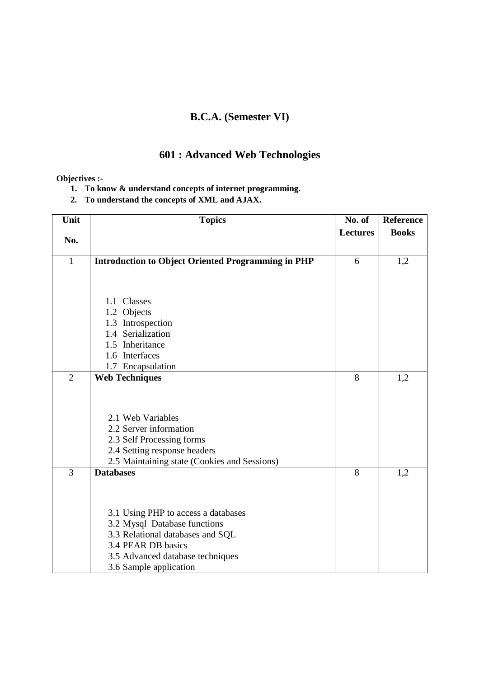## **B.C.A. (Semester VI)**

## **601 : Advanced Web Technologies**

#### **Objectives :-**

- **1. To know & understand concepts of internet programming.**
- **2. To understand the concepts of XML and AJAX.**

| Unit           | <b>Topics</b>                                             | No. of          | <b>Reference</b> |
|----------------|-----------------------------------------------------------|-----------------|------------------|
| No.            |                                                           | <b>Lectures</b> | <b>Books</b>     |
|                |                                                           |                 |                  |
| $\mathbf{1}$   | <b>Introduction to Object Oriented Programming in PHP</b> | 6               | 1,2              |
|                |                                                           |                 |                  |
|                |                                                           |                 |                  |
|                | 1.1 Classes                                               |                 |                  |
|                | 1.2 Objects                                               |                 |                  |
|                | 1.3 Introspection<br>1.4 Serialization                    |                 |                  |
|                | 1.5 Inheritance                                           |                 |                  |
|                | 1.6 Interfaces                                            |                 |                  |
|                | 1.7 Encapsulation                                         |                 |                  |
| $\overline{2}$ | <b>Web Techniques</b>                                     | 8               | 1,2              |
|                |                                                           |                 |                  |
|                |                                                           |                 |                  |
|                |                                                           |                 |                  |
|                | 2.1 Web Variables                                         |                 |                  |
|                | 2.2 Server information                                    |                 |                  |
|                | 2.3 Self Processing forms                                 |                 |                  |
|                | 2.4 Setting response headers                              |                 |                  |
|                | 2.5 Maintaining state (Cookies and Sessions)              |                 |                  |
| $\overline{3}$ | <b>Databases</b>                                          | 8               | 1,2              |
|                |                                                           |                 |                  |
|                |                                                           |                 |                  |
|                | 3.1 Using PHP to access a databases                       |                 |                  |
|                | 3.2 Mysql Database functions                              |                 |                  |
|                | 3.3 Relational databases and SQL                          |                 |                  |
|                | 3.4 PEAR DB basics                                        |                 |                  |
|                | 3.5 Advanced database techniques                          |                 |                  |
|                | 3.6 Sample application                                    |                 |                  |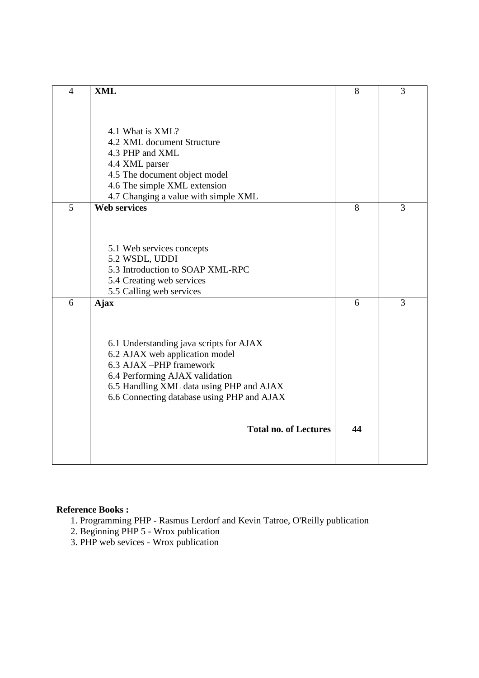| $\overline{4}$ | <b>XML</b>                                 | 8  | 3 |
|----------------|--------------------------------------------|----|---|
|                |                                            |    |   |
|                |                                            |    |   |
|                |                                            |    |   |
|                | 4.1 What is XML?                           |    |   |
|                | 4.2 XML document Structure                 |    |   |
|                | 4.3 PHP and XML                            |    |   |
|                | 4.4 XML parser                             |    |   |
|                | 4.5 The document object model              |    |   |
|                | 4.6 The simple XML extension               |    |   |
|                | 4.7 Changing a value with simple XML       |    |   |
| 5              | <b>Web services</b>                        | 8  | 3 |
|                |                                            |    |   |
|                |                                            |    |   |
|                |                                            |    |   |
|                | 5.1 Web services concepts                  |    |   |
|                | 5.2 WSDL, UDDI                             |    |   |
|                | 5.3 Introduction to SOAP XML-RPC           |    |   |
|                | 5.4 Creating web services                  |    |   |
|                | 5.5 Calling web services                   |    |   |
| 6              | <b>Ajax</b>                                | 6  | 3 |
|                |                                            |    |   |
|                |                                            |    |   |
|                | 6.1 Understanding java scripts for AJAX    |    |   |
|                | 6.2 AJAX web application model             |    |   |
|                | 6.3 AJAX -PHP framework                    |    |   |
|                | 6.4 Performing AJAX validation             |    |   |
|                | 6.5 Handling XML data using PHP and AJAX   |    |   |
|                | 6.6 Connecting database using PHP and AJAX |    |   |
|                |                                            |    |   |
|                |                                            |    |   |
|                | <b>Total no. of Lectures</b>               | 44 |   |
|                |                                            |    |   |
|                |                                            |    |   |
|                |                                            |    |   |

I

- 1. Programming PHP Rasmus Lerdorf and Kevin Tatroe, O'Reilly publication
- 2. Beginning PHP 5 Wrox publication
- 3. PHP web sevices Wrox publication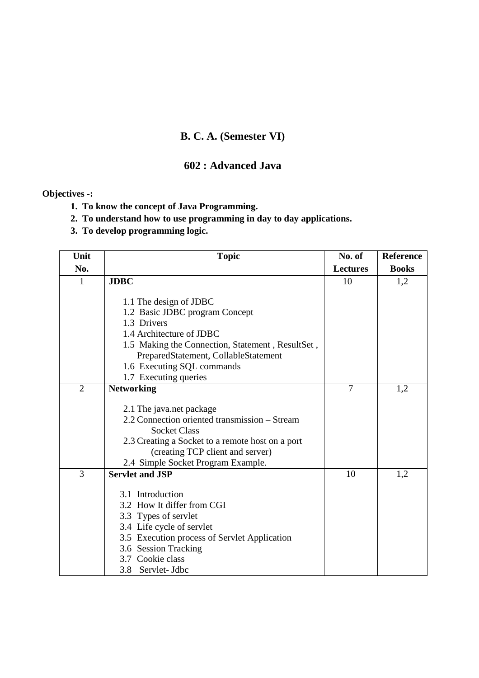## **B. C. A. (Semester VI)**

### **602 : Advanced Java**

### **Objectives -:**

- **1. To know the concept of Java Programming.**
- **2. To understand how to use programming in day to day applications.**
- **3. To develop programming logic.**

| Unit           | <b>Topic</b>                                                       | No. of          | <b>Reference</b> |
|----------------|--------------------------------------------------------------------|-----------------|------------------|
| No.            |                                                                    | <b>Lectures</b> | <b>Books</b>     |
| 1              | <b>JDBC</b>                                                        | 10              | 1,2              |
|                |                                                                    |                 |                  |
|                | 1.1 The design of JDBC                                             |                 |                  |
|                | 1.2 Basic JDBC program Concept                                     |                 |                  |
|                | 1.3 Drivers                                                        |                 |                  |
|                | 1.4 Architecture of JDBC                                           |                 |                  |
|                | 1.5 Making the Connection, Statement, ResultSet,                   |                 |                  |
|                | PreparedStatement, CollableStatement<br>1.6 Executing SQL commands |                 |                  |
|                | 1.7 Executing queries                                              |                 |                  |
| $\overline{2}$ | <b>Networking</b>                                                  | $\overline{7}$  | 1,2              |
|                |                                                                    |                 |                  |
|                | 2.1 The java.net package                                           |                 |                  |
|                | 2.2 Connection oriented transmission – Stream                      |                 |                  |
|                | <b>Socket Class</b>                                                |                 |                  |
|                | 2.3 Creating a Socket to a remote host on a port                   |                 |                  |
|                | (creating TCP client and server)                                   |                 |                  |
|                | 2.4 Simple Socket Program Example.                                 |                 |                  |
| $\overline{3}$ | <b>Servlet and JSP</b>                                             | 10              | 1,2              |
|                |                                                                    |                 |                  |
|                | 3.1 Introduction                                                   |                 |                  |
|                | 3.2 How It differ from CGI                                         |                 |                  |
|                | 3.3 Types of servlet                                               |                 |                  |
|                | 3.4 Life cycle of servlet                                          |                 |                  |
|                | 3.5 Execution process of Servlet Application                       |                 |                  |
|                | 3.6 Session Tracking                                               |                 |                  |
|                | 3.7 Cookie class                                                   |                 |                  |
|                | Servlet- Jdbc<br>3.8                                               |                 |                  |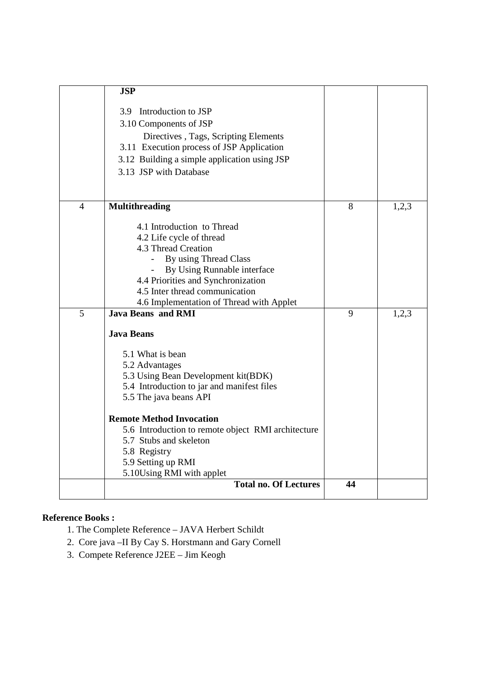|   | <b>JSP</b>                                                                 |    |       |
|---|----------------------------------------------------------------------------|----|-------|
|   | 3.9 Introduction to JSP                                                    |    |       |
|   | 3.10 Components of JSP                                                     |    |       |
|   | Directives, Tags, Scripting Elements                                       |    |       |
|   | 3.11 Execution process of JSP Application                                  |    |       |
|   | 3.12 Building a simple application using JSP                               |    |       |
|   | 3.13 JSP with Database                                                     |    |       |
|   |                                                                            |    |       |
| 4 | <b>Multithreading</b>                                                      | 8  | 1,2,3 |
|   | 4.1 Introduction to Thread                                                 |    |       |
|   | 4.2 Life cycle of thread                                                   |    |       |
|   | 4.3 Thread Creation                                                        |    |       |
|   | By using Thread Class                                                      |    |       |
|   | By Using Runnable interface                                                |    |       |
|   | 4.4 Priorities and Synchronization                                         |    |       |
|   | 4.5 Inter thread communication<br>4.6 Implementation of Thread with Applet |    |       |
| 5 | <b>Java Beans and RMI</b>                                                  | 9  | 1,2,3 |
|   |                                                                            |    |       |
|   | <b>Java Beans</b>                                                          |    |       |
|   | 5.1 What is bean                                                           |    |       |
|   | 5.2 Advantages                                                             |    |       |
|   | 5.3 Using Bean Development kit(BDK)                                        |    |       |
|   | 5.4 Introduction to jar and manifest files                                 |    |       |
|   | 5.5 The java beans API                                                     |    |       |
|   | <b>Remote Method Invocation</b>                                            |    |       |
|   | 5.6 Introduction to remote object RMI architecture                         |    |       |
|   | 5.7 Stubs and skeleton                                                     |    |       |
|   | 5.8 Registry                                                               |    |       |
|   | 5.9 Setting up RMI                                                         |    |       |
|   | 5.10Using RMI with applet<br><b>Total no. Of Lectures</b>                  | 44 |       |
|   |                                                                            |    |       |

- 1. The Complete Reference JAVA Herbert Schildt
- 2. Core java –II By Cay S. Horstmann and Gary Cornell
- 3. Compete Reference J2EE Jim Keogh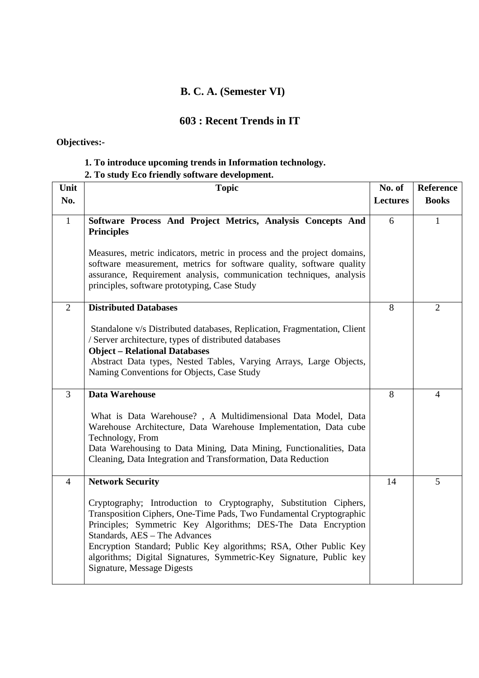## **B. C. A. (Semester VI)**

### **603 : Recent Trends in IT**

## **Objectives:-**

### **1. To introduce upcoming trends in Information technology.**

## **2. To study Eco friendly software development.**

| Unit           | <b>Topic</b>                                                                                                                                                                                                                                                                                                                                                                                                                | No. of          | Reference      |
|----------------|-----------------------------------------------------------------------------------------------------------------------------------------------------------------------------------------------------------------------------------------------------------------------------------------------------------------------------------------------------------------------------------------------------------------------------|-----------------|----------------|
| No.            |                                                                                                                                                                                                                                                                                                                                                                                                                             | <b>Lectures</b> | <b>Books</b>   |
| $\mathbf{1}$   | Software Process And Project Metrics, Analysis Concepts And<br><b>Principles</b>                                                                                                                                                                                                                                                                                                                                            | 6               | $\mathbf{1}$   |
|                | Measures, metric indicators, metric in process and the project domains,<br>software measurement, metrics for software quality, software quality<br>assurance, Requirement analysis, communication techniques, analysis<br>principles, software prototyping, Case Study                                                                                                                                                      |                 |                |
| 2              | <b>Distributed Databases</b>                                                                                                                                                                                                                                                                                                                                                                                                | 8               | $\overline{2}$ |
|                | Standalone v/s Distributed databases, Replication, Fragmentation, Client<br>/ Server architecture, types of distributed databases<br><b>Object - Relational Databases</b><br>Abstract Data types, Nested Tables, Varying Arrays, Large Objects,<br>Naming Conventions for Objects, Case Study                                                                                                                               |                 |                |
| $\overline{3}$ | Data Warehouse                                                                                                                                                                                                                                                                                                                                                                                                              | 8               | 4              |
|                | What is Data Warehouse?, A Multidimensional Data Model, Data<br>Warehouse Architecture, Data Warehouse Implementation, Data cube<br>Technology, From<br>Data Warehousing to Data Mining, Data Mining, Functionalities, Data<br>Cleaning, Data Integration and Transformation, Data Reduction                                                                                                                                |                 |                |
| $\overline{4}$ | <b>Network Security</b>                                                                                                                                                                                                                                                                                                                                                                                                     | 14              | 5              |
|                | Cryptography; Introduction to Cryptography, Substitution Ciphers,<br>Transposition Ciphers, One-Time Pads, Two Fundamental Cryptographic<br>Principles; Symmetric Key Algorithms; DES-The Data Encryption<br>Standards, AES - The Advances<br>Encryption Standard; Public Key algorithms; RSA, Other Public Key<br>algorithms; Digital Signatures, Symmetric-Key Signature, Public key<br><b>Signature, Message Digests</b> |                 |                |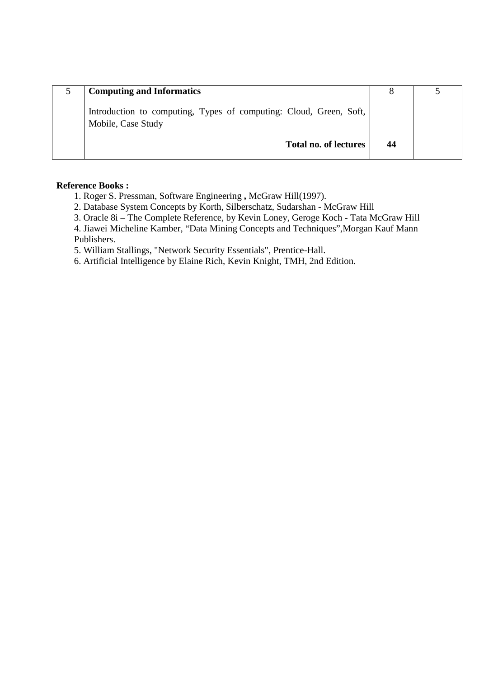| <b>Computing and Informatics</b>                                                         |    |  |
|------------------------------------------------------------------------------------------|----|--|
| Introduction to computing, Types of computing: Cloud, Green, Soft,<br>Mobile, Case Study |    |  |
| <b>Total no. of lectures</b>                                                             | 44 |  |

- 1. Roger S. Pressman, Software Engineering **,** McGraw Hill(1997).
- 2. Database System Concepts by Korth, Silberschatz, Sudarshan McGraw Hill
- 3. Oracle 8i The Complete Reference, by Kevin Loney, Geroge Koch Tata McGraw Hill
- 4. Jiawei Micheline Kamber, "Data Mining Concepts and Techniques",Morgan Kauf Mann Publishers.
- 5. William Stallings, "Network Security Essentials", Prentice-Hall.
- 6. Artificial Intelligence by Elaine Rich, Kevin Knight, TMH, 2nd Edition.